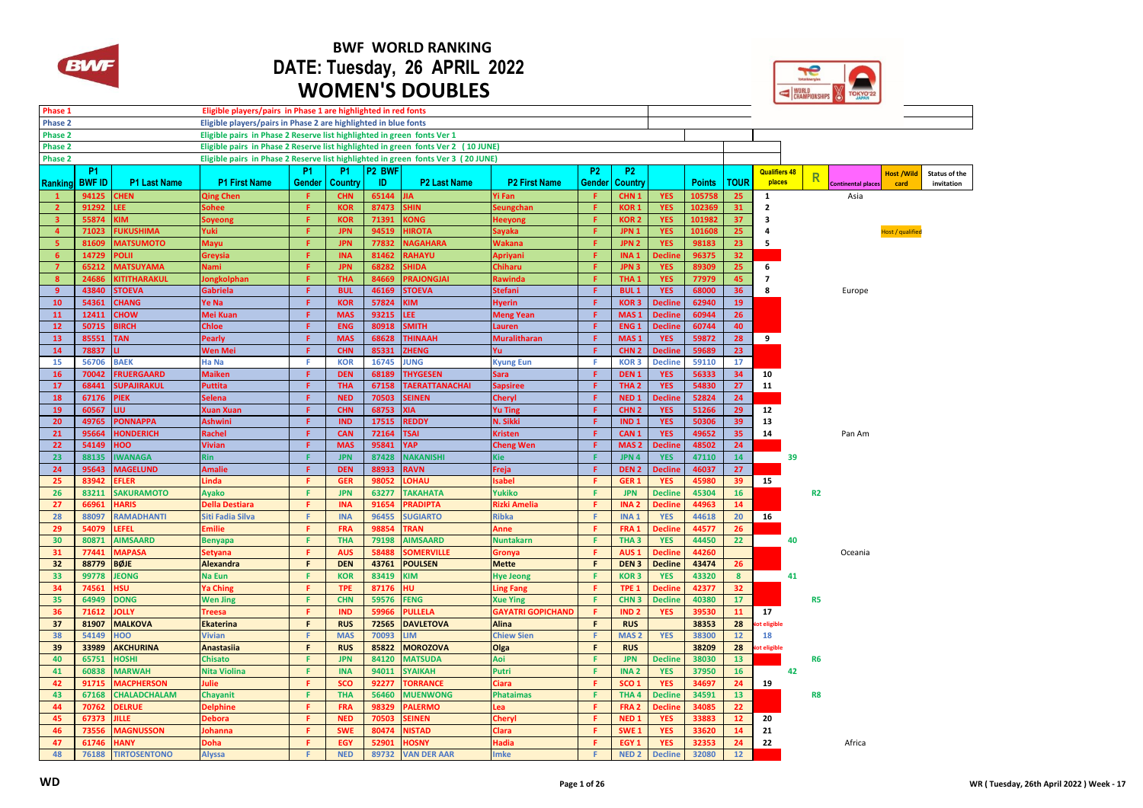

## **BWF WORLD RANKING DATE: Tuesday, 26 APRIL 2022 WOMEN'S DOUBLES**

|                |                |                      |                                                                                   |                |                          |                    | <b>WOMEN'S DOUBLES</b>    |                          | WORLD<br>CHAMPIONSHIPS<br>TOKYO'22 |                                      |                              |                |                 |                      |                |                           |                   |               |
|----------------|----------------|----------------------|-----------------------------------------------------------------------------------|----------------|--------------------------|--------------------|---------------------------|--------------------------|------------------------------------|--------------------------------------|------------------------------|----------------|-----------------|----------------------|----------------|---------------------------|-------------------|---------------|
| Phase 1        |                |                      | Eligible players/pairs in Phase 1 are highlighted in red fonts                    |                |                          |                    |                           |                          |                                    |                                      |                              |                |                 |                      |                |                           |                   |               |
| Phase 2        |                |                      | Eligible players/pairs in Phase 2 are highlighted in blue fonts                   |                |                          |                    |                           |                          |                                    |                                      |                              |                |                 |                      |                |                           |                   |               |
| Phase 2        |                |                      | Eligible pairs in Phase 2 Reserve list highlighted in green fonts Ver 1           |                |                          |                    |                           |                          |                                    |                                      |                              |                |                 |                      |                |                           |                   |               |
| Phase 2        |                |                      | Eligible pairs in Phase 2 Reserve list highlighted in green fonts Ver 2 (10 JUNE) |                |                          |                    |                           |                          |                                    |                                      |                              |                |                 |                      |                |                           |                   |               |
| Phase 2        |                |                      | Eligible pairs in Phase 2 Reserve list highlighted in green fonts Ver 3 (20 JUNE) |                |                          |                    |                           |                          |                                    |                                      |                              |                |                 |                      |                |                           |                   |               |
|                | <b>P1</b>      |                      |                                                                                   | P <sub>1</sub> | <b>P1</b>                | P <sub>2</sub> BWF |                           |                          | <b>P2</b>                          | <b>P2</b>                            |                              |                |                 | <b>Qualifiers 48</b> |                |                           | <b>Host /Wild</b> | Status of the |
| Ranking        | <b>BWF ID</b>  | <b>P1 Last Name</b>  | <b>P1 First Name</b>                                                              | Gender         | Country                  | ID.                | <b>P2 Last Name</b>       | <b>P2 First Name</b>     | Gender                             | Country                              |                              | <b>Points</b>  | <b>TOUR</b>     | places               | R              | <b>Continental places</b> | card              | invitation    |
| $\mathbf{1}$   | 94125          | <b>CHEN</b>          | <b>Qing Chen</b>                                                                  | -F.            | <b>CHN</b>               | 65144              | ЛÃ                        | Yi Fan                   | Æ                                  | CHN <sub>1</sub>                     | <b>YES</b>                   | 105758         | 25              | 1                    |                | Asia                      |                   |               |
| $\overline{2}$ | 91292          | LEE.                 | Sohee                                                                             | Æ.             | <b>KOR</b>               | 87473              | <b>SHIN</b>               | ieungchan                | F.                                 | <b>KOR1</b>                          | <b>YES</b>                   | 102369         | 31              | 2                    |                |                           |                   |               |
| 3              | 55874          | MI:                  | ioyeong                                                                           | F.             | <b>KOR</b>               | 71391              | <b>CONG</b>               | <b>Heeyong</b>           | F.                                 | <b>KOR2</b>                          | <b>YES</b>                   | 10198          | 37              | 3                    |                |                           |                   |               |
| $\overline{4}$ | 71023          | <b>UKUSHIMA</b>      | Yuki                                                                              | F.             | <b>JPN</b>               | 94519              | <b>HIROTA</b>             | ayaka                    | F                                  | JPN <sub>1</sub>                     | <b>YES</b>                   | 10160          | 25              | $\overline{a}$       |                |                           | Host / qualified  |               |
| -5             | 81609          | <b>MATSUMOTO</b>     | Mayu                                                                              | F.             | <b>JPN</b>               | 77832              | <b>VAGAHARA</b>           | <b>Nakana</b>            | F                                  | JPN <sub>2</sub>                     | <b>YES</b>                   | 98183          | 23              | 5                    |                |                           |                   |               |
| 6              | 14729          | <b>OLII</b>          | Greysia                                                                           | F              | <b>INA</b>               | 81462              | <b>RAHAYU</b>             | <b>\priyani</b>          | F.                                 | INA <sub>1</sub>                     | <b>Decline</b>               | 96375          | 32              |                      |                |                           |                   |               |
| $\overline{7}$ | 65212          | <b>MATSUYAMA</b>     | <b>Nami</b>                                                                       | F.             | <b>JPN</b>               | 68282              | <b>HIDA</b>               | <b>Chiharu</b>           | Æ.                                 | JPN <sub>3</sub>                     | <b>YES</b>                   | 89309          | 25              | 6                    |                |                           |                   |               |
| 8              | 24686          | <b>ITITHARAKUL</b>   | ongkolphan                                                                        | F.             | <b>THA</b>               | 84669              | <b>RAJONGJAI</b>          | <b>Rawinda</b>           | F                                  | THA <sub>1</sub>                     | <b>YES</b>                   | 77979          | 45              | 7                    |                |                           |                   |               |
| 9              | 43840          | <b>STOEVA</b>        | <b>Gabriela</b>                                                                   | F.             | <b>BUL</b>               | 46169              | STOEVA                    | <b>Stefani</b>           | F.                                 | <b>BUL1</b>                          | <b>YES</b>                   | 68000          | 36              | 8                    |                | Europe                    |                   |               |
| 10             | 54361          | <b>CHANG</b>         | Ye Na                                                                             | F.             | <b>KOR</b>               | 57824              | KIM                       | <b>Hyerin</b>            | F                                  | <b>KOR3</b>                          | <b>Decline</b>               | 62940          | 19              |                      |                |                           |                   |               |
| 11             | 12411          | <b>CHOW</b>          | Mei Kuan                                                                          | F.             | <b>MAS</b>               | 93215              | EE.                       | <b>Meng Yean</b>         | F.                                 | MAS <sub>1</sub>                     | <b>Decline</b>               | 60944          | 26 <sup>°</sup> |                      |                |                           |                   |               |
| 12             | 50715          | <b>SIRCH</b>         | <b>Chloe</b>                                                                      | F              | <b>ENG</b>               | 80918              | <b>SMITH</b>              | Lauren                   | Æ                                  | ENG <sub>1</sub>                     | <b>Decline</b>               | 60744          | 40              |                      |                |                           |                   |               |
| 13             | 85551          | <b>TAN</b>           | <b>Pearly</b>                                                                     | F              | <b>MAS</b>               | 68628              | <b>THINAAH</b>            | <b>Muralitharan</b>      | F                                  | MAS <sub>1</sub>                     | <b>YES</b>                   | 59872          | 28              | 9                    |                |                           |                   |               |
| 14             | 78837          |                      | <b>Wen Mei</b>                                                                    | F              | <b>CHN</b><br>85331      |                    | ZHENG                     | Υū.                      | F.                                 | CHN <sub>2</sub>                     | <b>Decline</b>               | 59689          | 23              |                      |                |                           |                   |               |
| 15             | 56706          | <b>BAEK</b>          | Ha Na                                                                             | F.             | <b>KOR</b>               | 16745              | <b>JUNG</b>               | <b>Kyung Eun</b>         | Æ                                  | <b>KOR3</b>                          | <b>Decline</b>               | 59110          | 17              |                      |                |                           |                   |               |
| 16             | 70042          | <b>RUERGAARD</b>     | <b>Maiken</b>                                                                     | F.             | <b>DEN</b>               | 68189              | <b>THYGESEN</b>           | Sara                     | F                                  | DEN <sub>1</sub>                     | <b>YES</b>                   | 56333          | 34              | 10                   |                |                           |                   |               |
| 17             | 68441          | <b>SUPAJIRAKUL</b>   | <b>Puttita</b>                                                                    | F              | <b>THA</b>               | 67158              | <b>TAERATTANACHAI</b>     | <b>Sapsiree</b>          | F.                                 | THA <sub>2</sub>                     | <b>YES</b>                   | 54830          | 27              | 11                   |                |                           |                   |               |
| 18             | 67176          | <b>PIEK</b>          | <b>Selena</b>                                                                     | $\mathsf F$    | <b>NED</b>               | 70503              | <b>SEINEN</b>             | <b>Cheryl</b>            | F.                                 | NED <sub>1</sub>                     | <b>Decline</b>               | 52824          | 24              |                      |                |                           |                   |               |
| 19             | 60567          | LIU.                 | <b>Xuan Xuan</b>                                                                  | F.             | <b>CHN</b>               | 68753              | <b>XIA</b>                | <b>Yu Ting</b>           | F.                                 | CHN <sub>2</sub>                     | <b>YES</b>                   | 51266          | 29              | 12                   |                |                           |                   |               |
| 20             | 49765          | <b>ONNAPPA</b>       | <b>Ashwini</b>                                                                    | F.             | <b>IND</b><br><b>CAN</b> | 17515              | <b>REDDY</b>              | N. Sikki                 | F.                                 | IND <sub>1</sub><br>CAN <sub>1</sub> | <b>YES</b>                   | 50306<br>49652 | 39              | 13                   |                |                           |                   |               |
| 21             | 95664          | <b>HONDERICH</b>     | Rachel                                                                            | F<br>F         |                          | 72164              | <b>TSAI</b><br><b>YAP</b> | <b>Kristen</b>           | F<br>F.                            | MAS <sub>2</sub>                     | <b>YES</b>                   | 48502          | 35<br>24        | 14                   |                | Pan Am                    |                   |               |
| 22<br>23       | 54149<br>88135 | OOI<br><b>WANAGA</b> | <b>Vivian</b><br><b>Rin</b>                                                       | F.             | <b>MAS</b><br><b>JPN</b> | 95841<br>87428     | <b>VAKANISHI</b>          | <b>Cheng Wen</b><br>Kie  | F.                                 | JPN 4                                | <b>Decline</b><br><b>YES</b> | 47110          | 14              | 39                   |                |                           |                   |               |
| 24             | 95643          | <b>MAGELUND</b>      | <b>Amalie</b>                                                                     | F.             | <b>DEN</b>               | 88933              | <b>RAVN</b>               | Freja                    | F                                  | DEN <sub>2</sub>                     | <b>Decline</b>               | 46037          | 27              |                      |                |                           |                   |               |
| 25             | 83942          | <b>FLER</b>          | Linda                                                                             | F.             | <b>GER</b>               | 98052              | <b>UAHO.</b>              | sabel                    | F.                                 | GER <sub>1</sub>                     | <b>YES</b>                   | 45980          | 39              | 15                   |                |                           |                   |               |
| 26             | 83211          | <b>SAKURAMOTO</b>    | <b>Ayako</b>                                                                      | F.             | <b>JPN</b>               | 63277              | <b><i>TAKAHATA</i></b>    | Yukiko                   | F.                                 | <b>JPN</b>                           | <b>Decline</b>               | 45304          | 16              |                      | R <sub>2</sub> |                           |                   |               |
| 27             | 66961          | <b>JARIS</b>         | <b>Della Destiara</b>                                                             | F.             | <b>INA</b>               | 91654              | <b>PRADIPTA</b>           | <b>Rizki Amelia</b>      | F.                                 | INA <sub>2</sub>                     | <b>Decline</b>               | 44963          | 14              |                      |                |                           |                   |               |
| 28             | 88097          | <b>RAMADHANTI</b>    | <b>Siti Fadia Silva</b>                                                           | F.             | <b>INA</b>               | 96455              | <b>SUGIARTO</b>           | <b>Ribka</b>             | F.                                 | INA <sub>1</sub>                     | <b>YES</b>                   | 44618          | 20              | 16                   |                |                           |                   |               |
| 29             | 54079          | <b>EFEL</b>          | <b>Emilie</b>                                                                     | F              | <b>FRA</b>               | 98854              | <b>RAN</b>                | Anne                     | F                                  | FRA <sub>1</sub>                     | <b>Declin</b>                | 44577          | 26              |                      |                |                           |                   |               |
| 30             | 80871          | <b>AIMSAARD</b>      | <b>Benyapa</b>                                                                    | F.             | <b>THA</b>               | 79198              | <b>AIMSAARD</b>           | <b>Nuntakarn</b>         | F.                                 | THA <sub>3</sub>                     | <b>YES</b>                   | 44450          | 22              | 40                   |                |                           |                   |               |
| 31             | 77441          | <b>MAPASA</b>        | <b>Setyana</b>                                                                    | Æ.             | <b>AUS</b>               | 58488              | <b>SOMERVILLE</b>         | Gronya                   | F.                                 | AUS <sub>1</sub>                     | <b>Declin</b>                | 44260          |                 |                      |                | Oceania                   |                   |               |
| 32             | 88779          | <b>BØJE</b>          | Alexandra                                                                         | F              | <b>DEN</b>               | 43761              | <b>POULSEN</b>            | <b>Mette</b>             | F                                  | DEN <sub>3</sub>                     | <b>Decline</b>               | 43474          | 26              |                      |                |                           |                   |               |
| 33             | 99778          | <b>JEONG</b>         | <b>Na Eun</b>                                                                     | F              | <b>KOR</b>               | 83419              | KIM                       | <b>Hye Jeong</b>         | F.                                 | <b>KOR3</b>                          | <b>YES</b>                   | 43320          | 8               | 41                   |                |                           |                   |               |
| 34             | 74561          | <b>ISU</b>           | <b>Ya Ching</b>                                                                   | Æ.             | <b>TPE</b>               | 87176              | HU                        | <b>Ling Fang</b>         | F.                                 | TPE <sub>1</sub>                     | <b>Declin</b>                | 42377          | 32 <sub>2</sub> |                      |                |                           |                   |               |
| 35             | 64949          | <b>DONG</b>          | <b>Wen Jing</b>                                                                   | F.             | <b>CHN</b>               | 59576              | <b>FENG</b>               | <b>Xue Ying</b>          | F.                                 | CHN <sub>3</sub><br><b>Decline</b>   |                              | 40380          | 17              | R <sub>5</sub>       |                |                           |                   |               |
| 36             | 71612          | <b>OLLY</b>          | <b>Treesa</b>                                                                     | F.             | <b>IND</b>               | 59966              | <b>ULLELA</b>             | <b>GAYATRI GOPICHAND</b> | F.<br>IND <sub>2</sub>             |                                      | <b>YES</b>                   | 39530<br>11    |                 | 17                   |                |                           |                   |               |
| 37             | 81907          | <b>MALKOVA</b>       | <b>Ekaterina</b>                                                                  | F.             | <b>RUS</b>               | 72565              | <b>DAVLETOVA</b>          | <b>Alina</b>             | F<br><b>RUS</b>                    |                                      |                              | 38353          |                 | t eligible           |                |                           |                   |               |
| 38             | 54149          | OOF                  | <b>Vivian</b>                                                                     | F              | <b>MAS</b>               | 70093              | <b>LIM</b>                | <b>Chiew Sien</b>        | F.<br>MAS <sub>2</sub>             |                                      | <b>YES</b>                   | 38300          | 12              | 18                   |                |                           |                   |               |
| 39             | 33989          | <b>AKCHURINA</b>     | <b>Anastasiia</b>                                                                 | F              | <b>RUS</b>               | 85822              | <b>MOROZOVA</b>           | Olga                     | F.                                 | <b>RUS</b>                           |                              | 38209          | 28              | lot eligible         |                |                           |                   |               |
| 40             | 65751          | <b>HOSHI</b>         | Chisato                                                                           | F              | <b>JPN</b>               | 84120              | <b>MATSUDA</b>            | Aoi                      | F.                                 | <b>JPN</b>                           | <b>Decline</b>               | 38030          | 13              |                      | R <sub>6</sub> |                           |                   |               |
| 41             | 60838          | <b>MARWAH</b>        | <b>Nita Violina</b>                                                               | F.             | <b>INA</b>               | 94011              | <b>SYAIKAH</b>            | Putri                    | F.                                 | <b>INA2</b>                          | <b>YES</b>                   | 37950          | 16              | 42                   |                |                           |                   |               |
| 42             | 91715          | <b>MACPHERSON</b>    | <b>Julie</b>                                                                      | F.             | <b>SCO</b>               | 92277              | <b>ORRANCE</b>            | Ciara                    | F.                                 | SCO <sub>1</sub>                     | <b>YES</b>                   | 34697          | 24              | 19                   |                |                           |                   |               |
| 43             | 67168          | <b>CHALADCHALAM</b>  | Chayanit                                                                          | F.             | <b>THA</b>               | 56460              | <b>MUENWONG</b>           | <b>Phataimas</b>         | F.                                 | THA <sub>4</sub>                     | <b>Decline</b>               | 34591          | 13              |                      | R8             |                           |                   |               |
| 44             | 70762          | <b>DELRUE</b>        | <b>Delphine</b>                                                                   | F.             | <b>FRA</b>               | 98329              | <b>ALERMO</b>             | ea                       | F.                                 | FRA <sub>2</sub>                     | <b>Declin</b>                | 34085          | 22              |                      |                |                           |                   |               |
| 45             | 67373          | ille.                | <b>Debora</b>                                                                     | F              | <b>NED</b>               | 70503              | <b>EINEN</b>              | Chery                    | Æ                                  | <b>NED1</b>                          | <b>YES</b>                   | 33883          | 12              | 20                   |                |                           |                   |               |
| 46             | 73556          | <b>MAGNUSSON</b>     | <b>lohanna</b>                                                                    | F.             | <b>SWE</b>               | 80474              | <b>VISTAD</b>             | Clara                    | F.                                 | SWE <sub>1</sub>                     | <b>YES</b>                   | 33620          | 14              | 21                   |                |                           |                   |               |
| 47             | 61746          | <b>HANY</b>          | <b>Doha</b>                                                                       | Æ.             | <b>EGY</b>               | 52901              | <b>HOSNY</b>              | Hadia                    | F.                                 | EGY <sub>1</sub>                     | <b>YES</b>                   | 32353          | 24              | 22                   |                | Africa                    |                   |               |
| 48             | 76188          | <b>TIRTOSENTONO</b>  | <b>Alyssa</b>                                                                     | F              | <b>NED</b>               | 89732              | <b>VAN DER AAR</b>        | mke                      | F.                                 | NED <sub>2</sub>                     | <b>Decline</b>               | 32080          | 12              |                      |                |                           |                   |               |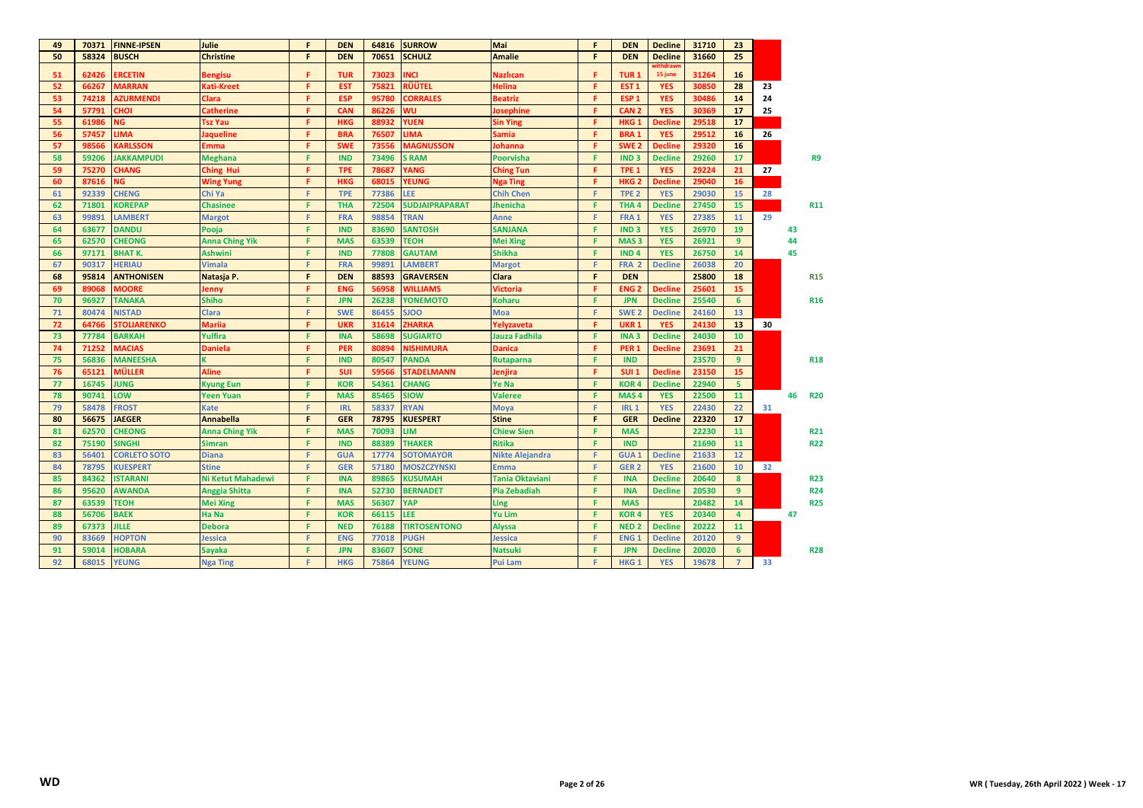| 49 | 70371 | <b>FINNE-IPSEN</b>  | Julie                 | F. | <b>DEN</b> | 64816 | <b>SURROW</b>         | Mai                    | F. | <b>DEN</b>       | <b>Decline</b> | 31710 | 23               |    |    |                |
|----|-------|---------------------|-----------------------|----|------------|-------|-----------------------|------------------------|----|------------------|----------------|-------|------------------|----|----|----------------|
| 50 | 58324 | <b>BUSCH</b>        | <b>Christine</b>      | F. | <b>DEN</b> | 70651 | <b>SCHULZ</b>         | <b>Amalie</b>          | F  | <b>DEN</b>       | <b>Decline</b> | 31660 | 25               |    |    |                |
| 51 | 62426 | <b>ERCETIN</b>      | <b>Bengisu</b>        | F. | <b>TUR</b> | 73023 | INCI                  | <b>Nazlican</b>        | F. | TUR <sub>1</sub> | 15 june        | 31264 | 16               |    |    |                |
| 52 | 66267 | <b>MARRAN</b>       | Kati-Kreet            | F. | <b>EST</b> | 75821 | RÜÜTEL                | <b>Helina</b>          | F. | EST <sub>1</sub> | <b>YES</b>     | 30850 | 28               | 23 |    |                |
| 53 | 74218 | <b>AZURMENDI</b>    | <b>Clara</b>          | F. | <b>ESP</b> | 95780 | <b>CORRALES</b>       | <b>Beatriz</b>         | F. | ESP <sub>1</sub> | <b>YES</b>     | 30486 | 14               | 24 |    |                |
| 54 | 57791 | <b>IOH:</b>         | Catherine             | F. | CAN        | 86226 | WU                    | <b>Josephine</b>       | F. | CAN <sub>2</sub> | <b>YES</b>     | 30369 | 17               | 25 |    |                |
| 55 | 61986 | NG.                 | <b>Tsz Yau</b>        | F. | <b>HKG</b> | 88932 | <b>YUEN</b>           | <b>Sin Ying</b>        | F. | HKG <sub>1</sub> | <b>Decline</b> | 29518 | 17               |    |    |                |
| 56 | 57457 | LIMA                | <b>Jaqueline</b>      | F. | <b>BRA</b> | 76507 | LIMA                  | <b>Samia</b>           | F. | <b>BRA1</b>      | <b>YES</b>     | 29512 | 16               | 26 |    |                |
| 57 | 98566 | <b>KARLSSON</b>     | Emma                  | F. | <b>SWE</b> | 73556 | <b>MAGNUSSON</b>      | <b>Johanna</b>         | F. | SWE <sub>2</sub> | <b>Decline</b> | 29320 | 16               |    |    |                |
| 58 | 59206 | <b>JAKKAMPUDI</b>   | <b>Meghana</b>        | F. | <b>IND</b> | 73496 | <b>S RAM</b>          | <b>Poorvisha</b>       | F. | <b>IND3</b>      | <b>Decline</b> | 29260 | 17               |    |    | R <sub>9</sub> |
| 59 | 75270 | <b>CHANG</b>        | <b>Ching Hui</b>      | F. | <b>TPE</b> | 78687 | YANG                  | <b>Ching Tun</b>       | F. | TPE <sub>1</sub> | <b>YES</b>     | 29224 | 21               | 27 |    |                |
| 60 | 87616 | <b>NG</b>           | <b>Wing Yung</b>      | F. | <b>HKG</b> | 68015 | YEUNG                 | Nga Ting               | F. | HKG <sub>2</sub> | <b>Decline</b> | 29040 | 16               |    |    |                |
| 61 | 92339 | <b>CHENG</b>        | Chi Ya                | F. | <b>TPE</b> | 77386 | <b>LEE</b>            | <b>Chih Chen</b>       | F. | TPE <sub>2</sub> | <b>YES</b>     | 29030 | 15               | 28 |    |                |
| 62 | 71801 | <b>KOREPAP</b>      | <b>Chasinee</b>       | F. | <b>THA</b> | 72504 | <b>SUDJAIPRAPARAT</b> | <b>Jhenicha</b>        | F. | THA <sub>4</sub> | <b>Decline</b> | 27450 | 15               |    |    | <b>R11</b>     |
| 63 | 99891 | <b>LAMBERT</b>      | <b>Margot</b>         | F  | <b>FRA</b> | 98854 | <b>TRAN</b>           | <b>Anne</b>            | F. | FRA <sub>1</sub> | <b>YES</b>     | 27385 | 11               | 29 |    |                |
| 64 | 63677 | <b>DANDU</b>        | Pooja                 | F. | <b>IND</b> | 83690 | <b>SANTOSH</b>        | <b>SANJANA</b>         | F. | IND <sub>3</sub> | <b>YES</b>     | 26970 | 19               |    | 43 |                |
| 65 | 62570 | <b>CHEONG</b>       | <b>Anna Ching Yik</b> | F. | <b>MAS</b> | 63539 | <b>TEOH</b>           | <b>Mei Xing</b>        | F. | MAS <sub>3</sub> | <b>YES</b>     | 26921 | 9                |    | 44 |                |
| 66 | 97171 | <b>BHATK.</b>       | <b>Ashwini</b>        | F  | <b>IND</b> | 77808 | <b>GAUTAM</b>         | <b>Shikha</b>          | F. | <b>IND4</b>      | <b>YES</b>     | 26750 | 14               |    | 45 |                |
| 67 | 90317 | <b>HERIAU</b>       | <b>Vimala</b>         | F. | <b>FRA</b> | 99891 | <b>LAMBERT</b>        | <b>Margot</b>          | F. | FRA <sub>2</sub> | <b>Decline</b> | 26038 | 20               |    |    |                |
| 68 | 95814 | <b>ANTHONISEN</b>   | Natasja P.            | F. | <b>DEN</b> | 88593 | <b>GRAVERSEN</b>      | <b>Clara</b>           | F. | <b>DEN</b>       |                | 25800 | 18               |    |    | <b>R15</b>     |
| 69 | 89068 | <b>MOORE</b>        | Jenny                 | F  | <b>ENG</b> | 56958 | <b>WILLIAMS</b>       | <b>Victoria</b>        | F. | <b>ENG2</b>      | <b>Decline</b> | 25601 | 15               |    |    |                |
| 70 | 96927 | <b>TANAKA</b>       | <b>Shiho</b>          | F. | <b>JPN</b> | 26238 | <b>YONEMOTO</b>       | <b>Koharu</b>          | F. | <b>JPN</b>       | <b>Decline</b> | 25540 | 6                |    |    | <b>R16</b>     |
| 71 | 80474 | <b>NISTAD</b>       | <b>Clara</b>          | F. | <b>SWE</b> | 86455 | <b>SJOO</b>           | <b>Moa</b>             | F. | SWE <sub>2</sub> | <b>Decline</b> | 24160 | 13               |    |    |                |
| 72 | 64766 | <b>STOLIARENKO</b>  | <b>Mariia</b>         | F. | <b>UKR</b> | 31614 | <b>ZHARKA</b>         | Yelyzaveta             | F. | <b>UKR1</b>      | <b>YES</b>     | 24130 | 13               | 30 |    |                |
| 73 | 77784 | <b>BARKAH</b>       | Yulfira               | F. | <b>INA</b> | 58698 | <b>SUGIARTO</b>       | Jauza Fadhila          | F. | INA <sub>3</sub> | <b>Decline</b> | 24030 | 10               |    |    |                |
| 74 | 71252 | <b>MACIAS</b>       | <b>Daniela</b>        | F. | <b>PER</b> | 80894 | <b>NISHIMURA</b>      | <b>Danica</b>          | F. | PER <sub>1</sub> | <b>Decline</b> | 23691 | 21               |    |    |                |
| 75 | 56836 | <b>MANEESHA</b>     |                       | F  | <b>IND</b> | 80547 | <b>PANDA</b>          | <b>Rutaparna</b>       | F. | <b>IND</b>       |                | 23570 | $\overline{9}$   |    |    | <b>R18</b>     |
| 76 | 65121 | MÜLLER              | <b>Aline</b>          | F. | <b>SUI</b> | 59566 | <b>STADELMANN</b>     | lenjira                | F. | SUI <sub>1</sub> | <b>Decline</b> | 23150 | 15               |    |    |                |
| 77 | 16745 | <b>JUNG</b>         | Kyung Eun             | F. | <b>KOR</b> | 54361 | <b>CHANG</b>          | Ye Na                  | F. | <b>KOR4</b>      | <b>Decline</b> | 22940 | 5                |    |    |                |
| 78 | 90741 | LOW                 | <b>Yeen Yuan</b>      | F  | <b>MAS</b> | 85465 | <b>SIOW</b>           | <b>Valeree</b>         | F. | MAS <sub>4</sub> | <b>YES</b>     | 22500 | 11               |    | 46 | <b>R20</b>     |
| 79 | 58478 | <b>FROST</b>        | Kate                  | F. | <b>IRL</b> | 58337 | <b>RYAN</b>           | <b>Moya</b>            | F. | <b>IRL1</b>      | <b>YES</b>     | 22430 | 22               | 31 |    |                |
| 80 | 56675 | <b>JAEGER</b>       | <b>Annabella</b>      | F. | <b>GER</b> | 78795 | <b>KUESPERT</b>       | <b>Stine</b>           | F. | <b>GER</b>       | <b>Decline</b> | 22320 | 17               |    |    |                |
| 81 | 62570 | <b>CHEONG</b>       | <b>Anna Ching Yik</b> | F  | <b>MAS</b> | 70093 | <b>LIM</b>            | <b>Chiew Sien</b>      | F. | <b>MAS</b>       |                | 22230 | 11               |    |    | <b>R21</b>     |
| 82 | 75190 | <b>SINGHI</b>       | <b>Simran</b>         | F. | <b>IND</b> | 88389 | <b>THAKER</b>         | <b>Ritika</b>          | F. | <b>IND</b>       |                | 21690 | 11               |    |    | <b>R22</b>     |
| 83 | 56401 | <b>CORLETO SOTO</b> | <b>Diana</b>          | F. | <b>GUA</b> | 17774 | <b>SOTOMAYOR</b>      | <b>Nikte Alejandra</b> | F. | <b>GUA1</b>      | <b>Decline</b> | 21633 | 12               |    |    |                |
| 84 | 78795 | <b>KUESPERT</b>     | <b>Stine</b>          | F  | <b>GER</b> | 57180 | <b>MOSZCZYNSKI</b>    | <b>Emma</b>            | F. | GER <sub>2</sub> | <b>YES</b>     | 21600 | 10               | 32 |    |                |
| 85 | 84362 | <b>ISTARANI</b>     | Ni Ketut Mahadewi     | F. | <b>INA</b> | 89865 | <b>KUSUMAH</b>        | Tania Oktaviani        | F. | <b>INA</b>       | <b>Decline</b> | 20640 | $\boldsymbol{8}$ |    |    | <b>R23</b>     |
| 86 | 95620 | <b>AWANDA</b>       | <b>Anggia Shitta</b>  | F. | <b>INA</b> | 52730 | <b>BERNADET</b>       | <b>Pia Zebadiah</b>    | F. | <b>INA</b>       | <b>Decline</b> | 20530 | $\overline{9}$   |    |    | <b>R24</b>     |
| 87 | 63539 | <b>TEOH</b>         | <b>Mei Xing</b>       | F  | <b>MAS</b> | 56307 | <b>YAP</b>            | Ling                   | F. | <b>MAS</b>       |                | 20482 | 14               |    |    | <b>R25</b>     |
| 88 | 56706 | <b>BAEK</b>         | Ha Na                 | F. | <b>KOR</b> | 66115 | <b>LEE</b>            | <b>Yu Lim</b>          | F. | <b>KOR4</b>      | <b>YES</b>     | 20340 | $\overline{a}$   |    | 47 |                |
| 89 | 67373 | <b>JILLE</b>        | <b>Debora</b>         | F. | <b>NED</b> | 76188 | <b>TIRTOSENTONO</b>   | <b>Alyssa</b>          | F. | NED <sub>2</sub> | <b>Decline</b> | 20222 | 11               |    |    |                |
| 90 | 83669 | <b>HOPTON</b>       | Jessica               | F  | <b>ENG</b> | 77018 | <b>PUGH</b>           | Jessica                | F. | <b>ENG1</b>      | <b>Decline</b> | 20120 | $\overline{9}$   |    |    |                |
| 91 | 59014 | <b>HOBARA</b>       | <b>Sayaka</b>         | F. | <b>JPN</b> | 83607 | <b>SONE</b>           | <b>Natsuki</b>         | F. | <b>JPN</b>       | <b>Decline</b> | 20020 | 6                |    |    | <b>R28</b>     |
| 92 | 68015 | <b>YEUNG</b>        | <b>Nga Ting</b>       | F. | <b>HKG</b> | 75864 | <b>YEUNG</b>          | <b>Pui Lam</b>         | F. | HKG <sub>1</sub> | <b>YES</b>     | 19678 | $\overline{7}$   | 33 |    |                |